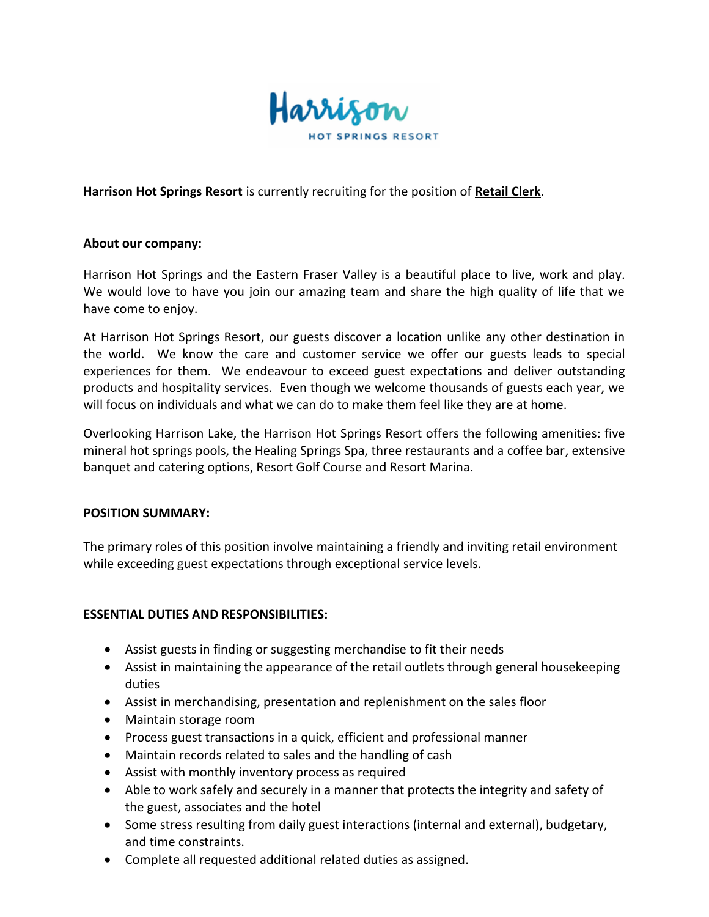

**Harrison Hot Springs Resort** is currently recruiting for the position of **Retail Clerk**.

## **About our company:**

Harrison Hot Springs and the Eastern Fraser Valley is a beautiful place to live, work and play. We would love to have you join our amazing team and share the high quality of life that we have come to enjoy.

At Harrison Hot Springs Resort, our guests discover a location unlike any other destination in the world. We know the care and customer service we offer our guests leads to special experiences for them. We endeavour to exceed guest expectations and deliver outstanding products and hospitality services. Even though we welcome thousands of guests each year, we will focus on individuals and what we can do to make them feel like they are at home.

Overlooking Harrison Lake, the Harrison Hot Springs Resort offers the following amenities: five mineral hot springs pools, the Healing Springs Spa, three restaurants and a coffee bar, extensive banquet and catering options, Resort Golf Course and Resort Marina.

## **POSITION SUMMARY:**

The primary roles of this position involve maintaining a friendly and inviting retail environment while exceeding guest expectations through exceptional service levels.

## **ESSENTIAL DUTIES AND RESPONSIBILITIES:**

- Assist guests in finding or suggesting merchandise to fit their needs
- Assist in maintaining the appearance of the retail outlets through general housekeeping duties
- Assist in merchandising, presentation and replenishment on the sales floor
- Maintain storage room
- Process guest transactions in a quick, efficient and professional manner
- Maintain records related to sales and the handling of cash
- Assist with monthly inventory process as required
- Able to work safely and securely in a manner that protects the integrity and safety of the guest, associates and the hotel
- Some stress resulting from daily guest interactions (internal and external), budgetary, and time constraints.
- Complete all requested additional related duties as assigned.